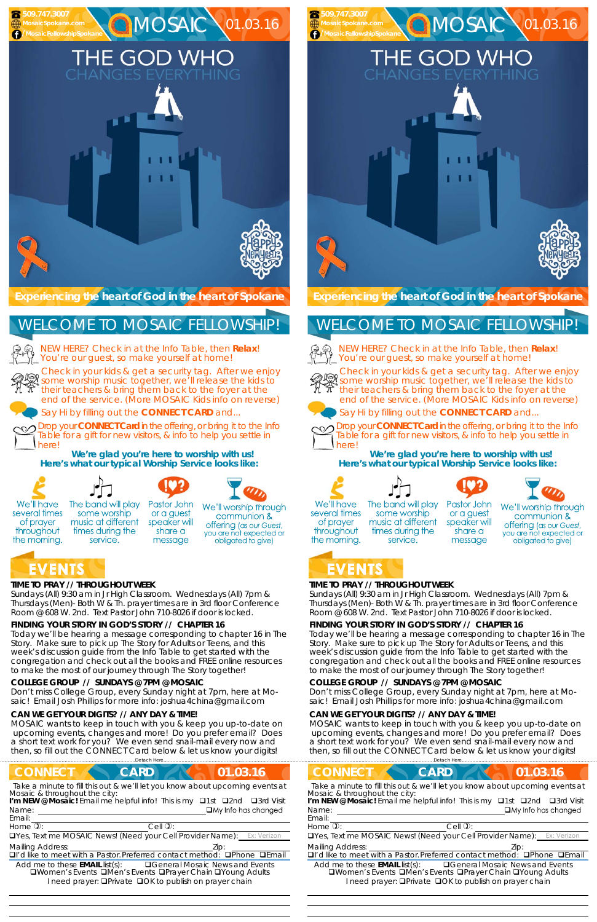## **TIME TO PRAY // THROUGHOUT WEEK**

*Sundays* (All) 9:30 am in Jr High Classroom. *Wednesdays* (All) 7pm & *Thursdays* (Men)- Both W & Th. prayer times are in 3rd floor Conference Room @ 608 W. 2nd. Text Pastor John 710-8026 if door is locked.

## **FINDING YOUR STORY IN GOD'S STORY // CHAPTER 16**

Today we'll be hearing a message corresponding to chapter 16 in The Story. Make sure to pick up The Story for Adults or Teens, and this week's discussion guide from the Info Table to get started with the congregation and check out all the books and FREE online resources to make the most of our journey through The Story together!

NEW HERE? Check in at the Info Table, then **Relax**! You're our guest, so make yourself at home!

#### **COLLEGE GROUP // SUNDAYS @ 7PM @ MOSAIC**

Don't miss College Group, every Sunday night at 7pm, here at Mosaic! Email Josh Phillips for more info: joshua4china@gmail.com

#### **CAN WE GET YOUR DIGITS? // ANY DAY & TIME!**

MOSAIC wants to keep in touch with you & keep you up-to-date on upcoming events, changes and more! Do you prefer email? Does a short text work for you? We even send snail-mail every now and then, so fill out the CONNECT Card below & let us know your digits!

**Experiencing the heart of God in the heart of Spokane** 

Check in your kids & get a security tag. After we enjoy some worship music together, we'll release the kids to their teachers & bring them back to the foyer at the end of the service. (More MOSAIC Kids info on reverse)

Say Hi by filling out the **CONNECT CARD** and...

Drop your **CONNECT Card** in the offering, or bring it to the Info Table for a gift for new visitors, & info to help you settle in here!

**We're glad you're here to worship with us! Here's what our typical Worship Service looks like:** 





## WELCOME TO MOSAIC FELLOWSHIP!

herel **We're glad you're here to worship with us!** 



 









The band will play several times some worship music at different throughout times during the the morning. service.

Pastor John or a guest speaker will share a message



We'll worship through communion & offering (as our Guest, you are not expected or obligated to give)

# EVENTS

#### **TIME TO PRAY // THROUGHOUT WEEK**

*Sundays* (All) 9:30 am in Jr High Classroom. *Wednesdays* (All) 7pm & *Thursdays* (Men)- Both W & Th. prayer times are in 3rd floor Conference Room @ 608 W. 2nd. Text Pastor John 710-8026 if door is locked.

#### **FINDING YOUR STORY IN GOD'S STORY // CHAPTER 16**

Today we'll be hearing a message corresponding to chapter 16 in The Story. Make sure to pick up The Story for Adults or Teens, and this week's discussion guide from the Info Table to get started with the congregation and check out all the books and FREE online resources to make the most of our journey through The Story together!

The band will play Pastor John or a guest speaker will share a

communion & offering (as our Guest,

| <b>CONNECT</b><br>01.03.16<br><b>CARD</b>                                                                                                                                                                                                                                                                                                             | <b>CONNECT</b><br><b>CARD</b><br>01.03.16                                                                                                                                                                                                                                                                                                  |  |  |
|-------------------------------------------------------------------------------------------------------------------------------------------------------------------------------------------------------------------------------------------------------------------------------------------------------------------------------------------------------|--------------------------------------------------------------------------------------------------------------------------------------------------------------------------------------------------------------------------------------------------------------------------------------------------------------------------------------------|--|--|
| Take a minute to fill this out & we'll let you know about upcoming events at<br>Mosaic & throughout the city:<br>I'm NEW @ Mosaic! Email me helpful info! This is my □1st □2nd □3rd Visit<br>$\Box$ My Info has changed<br>Name:<br>Email:                                                                                                            | Take a minute to fill this out & we'll let you know about upcoming events at<br>Mosaic & throughout the city:<br>I'm NEW @ Mosaic! Email me helpful info! This is my $\Box$ 1st<br>$\Box$ 3rd Visit<br>$\square$ 2nd<br>$\Box$ My Info has changed<br>Name:<br>Email:                                                                      |  |  |
| $Cell$ $\overline{O}$ :<br>Home $\mathbb{Q}$ :                                                                                                                                                                                                                                                                                                        | Home $\overline{v}$ :<br>$Cell$ $\mathcal{D}$ :                                                                                                                                                                                                                                                                                            |  |  |
| <b>OYes, Text me MOSAIC News! (Need your Cell Provider Name):</b> Ex: Verizon                                                                                                                                                                                                                                                                         | <b>OYes, Text me MOSAIC News! (Need your Cell Provider Name):</b> Ex: Verizon                                                                                                                                                                                                                                                              |  |  |
| <b>Mailing Address:</b><br>Lip:<br>DI'd like to meet with a Pastor. Preferred contact method:<br><b>Q</b> Phone <b>QEmail</b><br>Add me to these <b>EMAIL</b> list(s):<br><b>QGeneral Mosaic News and Events</b><br><b>QWomen's Events QMen's Events QPrayer Chain QYoung Adults</b><br>I need prayer: <b>QPrivate QOK to publish on prayer chain</b> | <b>Mailing Address:</b><br>$\Box$ I'd like to meet with a Pastor. Preferred contact method: $\Box$ Phone<br>□Fmail<br><b>QGeneral Mosaic News and Events</b><br>Add me to these <b>EMAIL</b> list(s):<br><b>QWomen's Events QMen's Events QPrayer Chain QYoung Adults</b><br>I need prayer: <b>QPrivate QOK to publish on prayer chain</b> |  |  |

#### **COLLEGE GROUP // SUNDAYS @ 7PM @ MOSAIC**

Don't miss College Group, every Sunday night at 7pm, here at Mosaic! Email Josh Phillips for more info: joshua4china@gmail.com

#### **CAN WE GET YOUR DIGITS? // ANY DAY & TIME!**

MOSAIC wants to keep in touch with you & keep you up-to-date on upcoming events, changes and more! Do you prefer email? Does a short text work for you? We even send snail-mail every now and then, so fill out the CONNECT Card below & let us know your digits!





Check in your kids & get a security tag. After we enjoy some worship music together, we'll release the kids to their teachers & bring them back to the foyer at the end of the service. (More MOSAIC Kids info on reverse)





Say Hi by filling out the **CONNECT CARD** and...



We'll have

of prayer

Drop your **CONNECT Card** in the offering, or bring it to the Info Table for a gift for new visitors, & info to help you settle in





MOSAIC 01.03.16

THE GOD WHO













several times of prayer throughout the morning.

some worship music at different times during the service. message

We'll worship through you are not expected or obligated to give)



 **509.747.3007 MosaicSpokane.com /MosaicFellowshipSpokane**